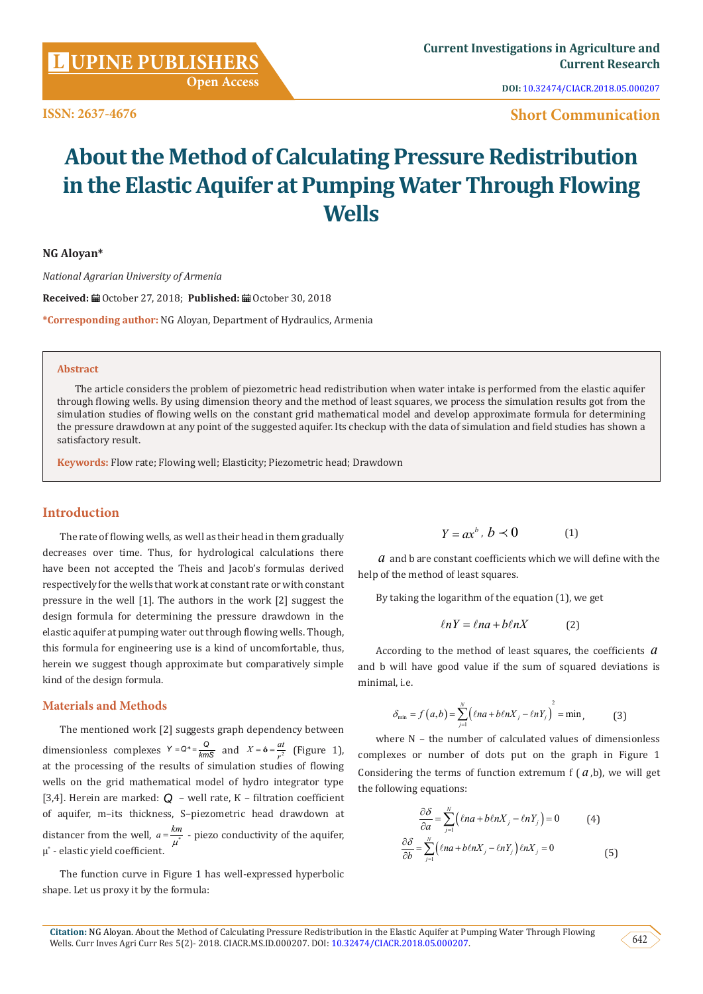**[UPINE PUBLISHERS](http://www.lupinepublishers.com/)** 

**ISSN: 2637-4676**

**DOI:** [10.32474/CIACR.2018.05.000207](http://dx.doi.org/10.32474/CIACR.2018.05.000207)

**Short Communication**

# **About the Method of Calculating Pressure Redistribution in the Elastic Aquifer at Pumping Water Through Flowing Wells**

**NG Aloyan\***

*National Agrarian University of Armenia*

Received: □ October 27, 2018; Published: ■ October 30, 2018

**\*Corresponding author:** NG Aloyan, Department of Hydraulics, Armenia

#### **Abstract**

The article considers the problem of piezometric head redistribution when water intake is performed from the elastic aquifer through flowing wells. By using dimension theory and the method of least squares, we process the simulation results got from the simulation studies of flowing wells on the constant grid mathematical model and develop approximate formula for determining the pressure drawdown at any point of the suggested aquifer. Its checkup with the data of simulation and field studies has shown a satisfactory result.

**Keywords:** Flow rate; Flowing well; Elasticity; Piezometric head; Drawdown

## **Introduction**

The rate of flowing wells, as well as their head in them gradually decreases over time. Thus, for hydrological calculations there have been not accepted the Theis and Jacob's formulas derived respectively for the wells that work at constant rate or with constant pressure in the well [1]. The authors in the work [2] suggest the design formula for determining the pressure drawdown in the elastic aquifer at pumping water out through flowing wells. Though, this formula for engineering use is a kind of uncomfortable, thus, herein we suggest though approximate but comparatively simple kind of the design formula.

## **Materials and Methods**

The mentioned work [2] suggests graph dependency between dimensionless complexes  $Y = Q^* = \frac{Q}{kmS}$  and  $X = \hat{\mathbf{o}} = \frac{at}{r^2}$  (Figure 1), at the processing of the results of simulation studies of flowing wells on the grid mathematical model of hydro integrator type [3,4]. Herein are marked: *Q* – well rate, К – filtration coefficient of aquifer, m–its thickness, S–piezometric head drawdown at distancer from the well,  $a = \frac{km}{\mu^*}$  - piezo conductivity of the aquifer, μ\* - elastic yield coefficient.

The function curve in Figure 1 has well-expressed hyperbolic shape. Let us proxy it by the formula:

$$
Y = ax^b, \, b \prec 0 \tag{1}
$$

*a* and b are constant coefficients which we will define with the help of the method of least squares.

By taking the logarithm of the equation (1), we get

$$
\ln Y = \ln a + b \ln X \tag{2}
$$

According to the method of least squares, the coefficients *a* and b will have good value if the sum of squared deviations is minimal, i.e.

$$
\delta_{\min} = f(a,b) = \sum_{j=1}^{N} \left( \ln a + b \ln X_j - \ln Y_j \right)^2 = \min, \tag{3}
$$

where N – the number of calculated values of dimensionless complexes or number of dots put on the graph in Figure 1 Considering the terms of function extremum  $f(a,b)$ , we will get the following equations:

$$
\frac{\partial \delta}{\partial a} = \sum_{j=1}^{N} (\ln a + b \ln X_j - \ln Y_j) = 0 \tag{4}
$$

$$
\frac{\partial \delta}{\partial b} = \sum_{j=1}^{N} (\ln a + b \ln X_j - \ln Y_j) \ln X_j = 0 \tag{5}
$$

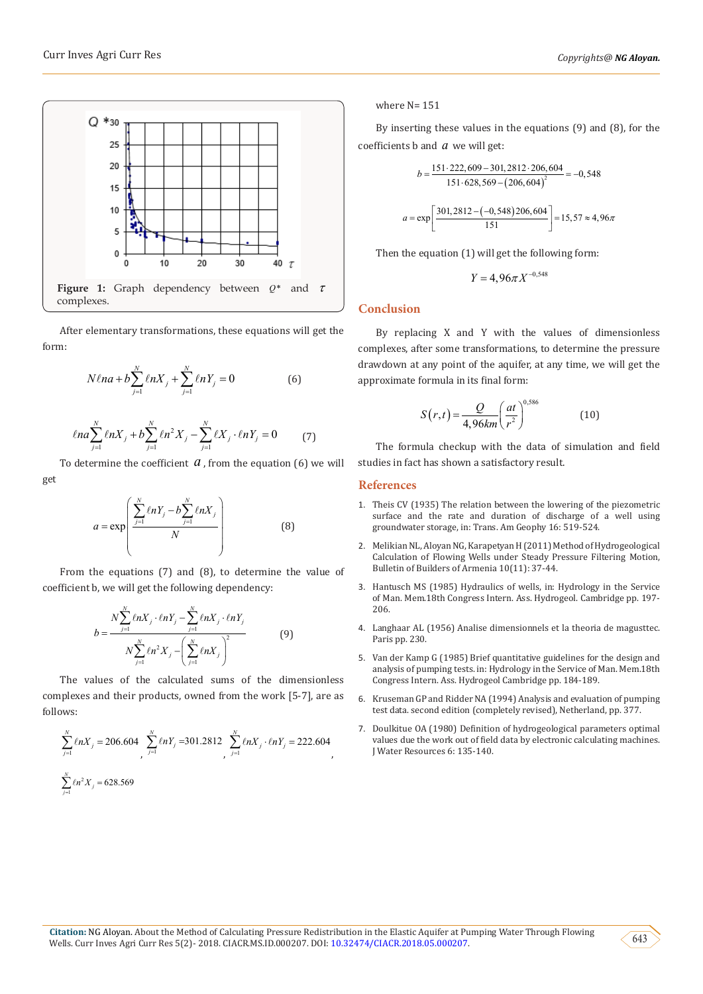

After elementary transformations, these equations will get the form:

$$
N\ell na + b\sum_{j=1}^{N} \ell n X_j + \sum_{j=1}^{N} \ell n Y_j = 0
$$
 (6)

$$
\ell na \sum_{j=1}^{N} \ell n X_j + b \sum_{j=1}^{N} \ell n^2 X_j - \sum_{j=1}^{N} \ell X_j \cdot \ell n Y_j = 0 \tag{7}
$$

To determine the coefficient  $a$ , from the equation (6) we will get

$$
a = \exp\left(\frac{\sum_{j=1}^{N} \ln Y_j - b \sum_{j=1}^{N} \ln X_j}{N}\right)
$$
(8)

From the equations (7) and (8), to determine the value of coefficient b, we will get the following dependency:

$$
b = \frac{N \sum_{j=1}^{N} \ln X_j \cdot \ln Y_j - \sum_{j=1}^{N} \ln X_j \cdot \ln Y_j}{N \sum_{j=1}^{N} \ln X_j - \left(\sum_{j=1}^{N} \ln X_j\right)^2}
$$
(9)

The values of the calculated sums of the dimensionless complexes and their products, owned from the work [5-7], are as follows:

$$
\sum_{j=1}^{N} \ell n X_j = 206.604 \sum_{j=1}^{N} \ell n Y_j = 301.2812 \sum_{j=1}^{N} \ell n X_j \cdot \ell n Y_j = 222.604
$$
\n
$$
\sum_{j=1}^{N} \ell n^2 X_j = 628.569
$$

where N= 151

By inserting these values in the equations (9) and (8), for the coefficients b and *a* we will get:

$$
b = \frac{151 \cdot 222,609 - 301,2812 \cdot 206,604}{151 \cdot 628,569 - (206,604)^{2}} = -0,548
$$

$$
a = \exp\left[\frac{301,2812 - (-0,548)206,604}{151}\right] = 15,57 \approx 4,96\pi
$$

Then the equation (1) will get the following form:

 $\begin{bmatrix} 1 & 1 & 1 \end{bmatrix}$ 

$$
Y = 4.96 \pi X^{-0.548}
$$

#### **Conclusion**

By replacing X and Y with the values of dimensionless complexes, after some transformations, to determine the pressure drawdown at any point of the aquifer, at any time, we will get the approximate formula in its final form:

$$
S(r,t) = \frac{Q}{4,96km} \left(\frac{at}{r^2}\right)^{0,586}
$$
 (10)

The formula checkup with the data of simulation and field studies in fact has shown a satisfactory result.

#### **References**

- 1. [Theis CV \(1935\) The relation between the lowering of the piezometric](http://adsabs.harvard.edu/abs/1935TrAGU..16..519T) [surface and the rate and duration of discharge of a well using](http://adsabs.harvard.edu/abs/1935TrAGU..16..519T) [groundwater storage, in: Trans. Am Geophy 16: 519-524.](http://adsabs.harvard.edu/abs/1935TrAGU..16..519T)
- 2. Melikian NL, Aloyan NG, Karapetyan H (2011) Method of Hydrogeological Calculation of Flowing Wells under Steady Pressure Filtering Motion, Bulletin of Builders of Armenia 10(11): 37-44.
- 3. Hantusch MS (1985) Hydraulics of wells, in: Hydrology in the Service of Man. Mem.18th Congress Intern. Ass. Hydrogeol. Cambridge pp. 197- 206.
- 4. Langhaar AL (1956) Analise dimensionnels et la theoria de magusttec. Paris pp. 230.
- 5. [Van der Kamp G \(1985\) Brief quantitative guidelines for the design and](http://hydrologie.org/redbooks/a154/iahs_154_04_0197.pdf) [analysis of pumping tests. in: Hydrology in the Service of Man. Mem.18th](http://hydrologie.org/redbooks/a154/iahs_154_04_0197.pdf) [Congress Intern. Ass. Hydrogeol Cambridge pp. 184-189.](http://hydrologie.org/redbooks/a154/iahs_154_04_0197.pdf)
- 6. [Kruseman GP and Ridder NA \(1994\) Analysis and evaluation of pumping](https://www.hydrology.nl/images/docs/dutch/key/Kruseman_and_De_Ridder_2000.pdf) [test data. second edition \(completely revised\), Netherland, pp. 377.](https://www.hydrology.nl/images/docs/dutch/key/Kruseman_and_De_Ridder_2000.pdf)
- 7. Doulkitue OA (1980) Definition of hydrogeological parameters optimal values due the work out of field data by electronic calculating machines. J Water Resources 6: 135-140.